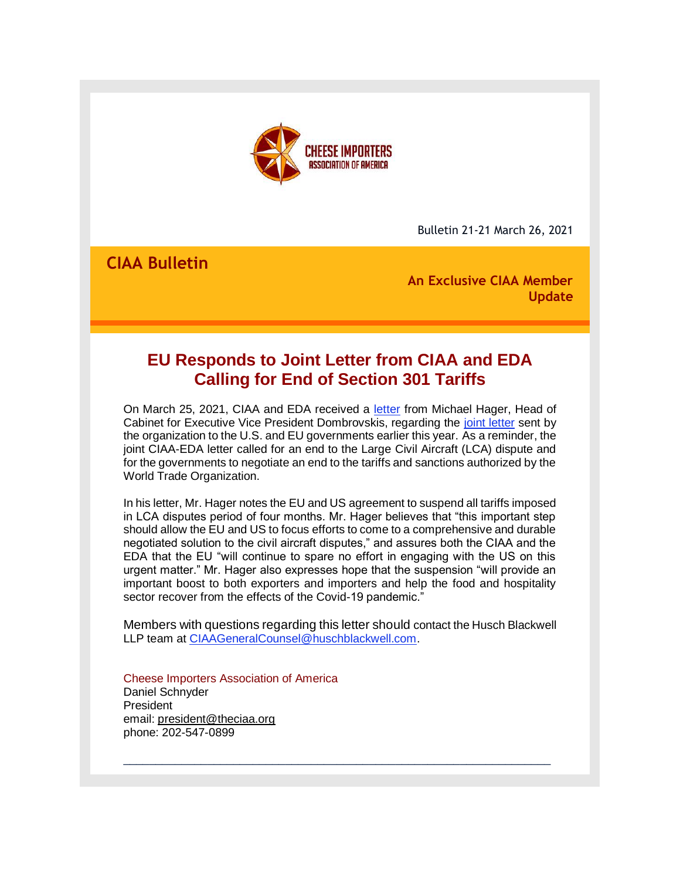

Bulletin 21-21 March 26, 2021

**CIAA Bulletin**

**An Exclusive CIAA Member Update**

# **EU Responds to Joint Letter from CIAA and EDA Calling for End of Section 301 Tariffs**

On March 25, 2021, CIAA and EDA received a [letter](http://r20.rs6.net/tn.jsp?f=001mU9W319q7gJv7Ce2ktOTG42BALZutjSfzQbgyhF3o4y5drvRHTE9E63xaw19qqXdDzyHXC4S5BmOeDBKptBA4p1poAyrNAhn89BWSFNfrNlkAcfJAzHYvFwA-zVWsLKbYCFWwh0BIrhzW1Oshn2mVqPaPljMLjW-Ldr8YXae47ziKUINuqRagg==&c=0ibEOb7KWWd8P0Q8RLZsdGEQieCr_5sQ9__ntWKGFuMHHp-BeDbl_A==&ch=NzidhFP5iaBEjGqtcyuoluXT2p9Sdn0ugR_vIQ8ohe4Xk00DTYIIzg==) from Michael Hager, Head of Cabinet for Executive Vice President Dombrovskis, regarding the [joint letter](http://r20.rs6.net/tn.jsp?f=001mU9W319q7gJv7Ce2ktOTG42BALZutjSfzQbgyhF3o4y5drvRHTE9E5NrsO28yMCsRppcXHpkEwiWHC1OvtTeUFK3XGWrHqM16u7P-JBIOwx7_UR4_q_RRpnvx2uPJxPFkJtL_4rqKB_tnci4GaizYyxtfw7IaHlSR9Uxlc2mRHep1fYQxbU0AA==&c=0ibEOb7KWWd8P0Q8RLZsdGEQieCr_5sQ9__ntWKGFuMHHp-BeDbl_A==&ch=NzidhFP5iaBEjGqtcyuoluXT2p9Sdn0ugR_vIQ8ohe4Xk00DTYIIzg==) sent by the organization to the U.S. and EU governments earlier this year. As a reminder, the joint CIAA-EDA letter called for an end to the Large Civil Aircraft (LCA) dispute and for the governments to negotiate an end to the tariffs and sanctions authorized by the World Trade Organization.

In his letter, Mr. Hager notes the EU and US agreement to suspend all tariffs imposed in LCA disputes period of four months. Mr. Hager believes that "this important step should allow the EU and US to focus efforts to come to a comprehensive and durable negotiated solution to the civil aircraft disputes," and assures both the CIAA and the EDA that the EU "will continue to spare no effort in engaging with the US on this urgent matter." Mr. Hager also expresses hope that the suspension "will provide an important boost to both exporters and importers and help the food and hospitality sector recover from the effects of the Covid-19 pandemic."

Members with questions regarding this letter should contact the Husch Blackwell LLP team at [CIAAGeneralCounsel@huschblackwell.com.](mailto:CIAAGeneralCounsel@huschblackwell.com)

 $\_$  ,  $\_$  ,  $\_$  ,  $\_$  ,  $\_$  ,  $\_$  ,  $\_$  ,  $\_$  ,  $\_$  ,  $\_$  ,  $\_$  ,  $\_$  ,  $\_$  ,  $\_$  ,  $\_$  ,  $\_$  ,  $\_$  ,  $\_$  ,  $\_$ 

Cheese Importers Association of America Daniel Schnyder President email: president@theciaa.org phone: 202-547-0899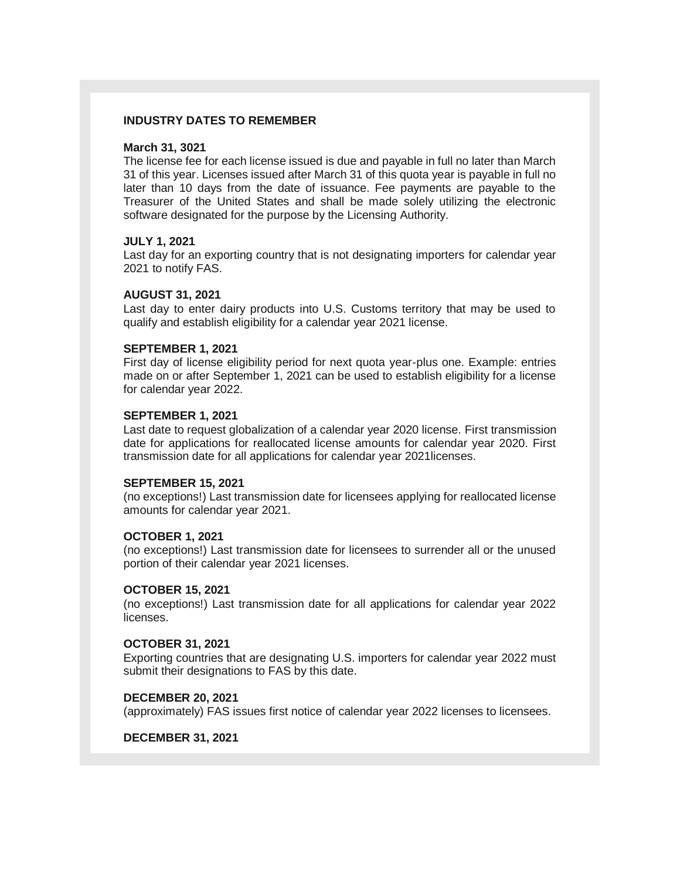# **INDUSTRY DATES TO REMEMBER**

#### **March 31, 3021**

The license fee for each license issued is due and payable in full no later than March 31 of this year. Licenses issued after March 31 of this quota year is payable in full no later than 10 days from the date of issuance. Fee payments are payable to the Treasurer of the United States and shall be made solely utilizing the electronic software designated for the purpose by the Licensing Authority.

# **JULY 1, 2021**

Last day for an exporting country that is not designating importers for calendar year 2021 to notify FAS.

# **AUGUST 31, 2021**

Last day to enter dairy products into U.S. Customs territory that may be used to qualify and establish eligibility for a calendar year 2021 license.

# **SEPTEMBER 1, 2021**

First day of license eligibility period for next quota year-plus one. Example: entries made on or after September 1, 2021 can be used to establish eligibility for a license for calendar year 2022.

# **SEPTEMBER 1, 2021**

Last date to request globalization of a calendar year 2020 license. First transmission date for applications for reallocated license amounts for calendar year 2020. First transmission date for all applications for calendar year 2021licenses.

#### **SEPTEMBER 15, 2021**

(no exceptions!) Last transmission date for licensees applying for reallocated license amounts for calendar year 2021.

# **OCTOBER 1, 2021**

(no exceptions!) Last transmission date for licensees to surrender all or the unused portion of their calendar year 2021 licenses.

# **OCTOBER 15, 2021**

(no exceptions!) Last transmission date for all applications for calendar year 2022 licenses.

# **OCTOBER 31, 2021**

Exporting countries that are designating U.S. importers for calendar year 2022 must submit their designations to FAS by this date.

# **DECEMBER 20, 2021**

(approximately) FAS issues first notice of calendar year 2022 licenses to licensees.

#### **DECEMBER 31, 2021**